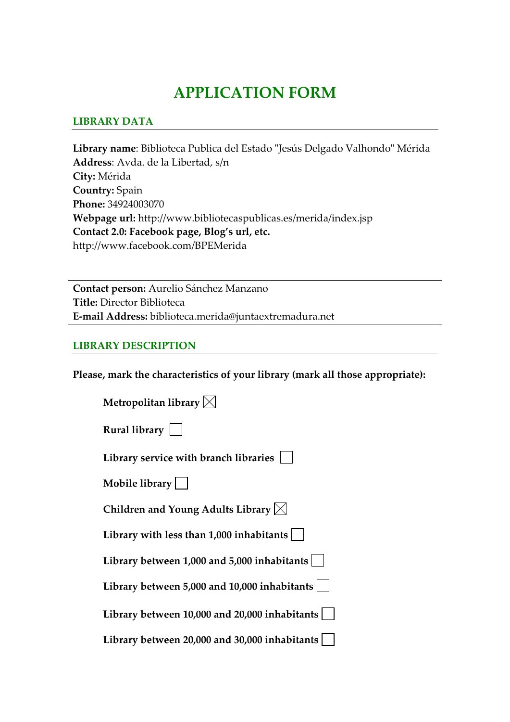# **APPLICATION FORM**

#### **LIBRARY DATA**

Library name: Biblioteca Publica del Estado "Jesús Delgado Valhondo" Mérida **Address**: Avda. de la Libertad, s/n **City:** Mérida **Country:** Spain **Phone:** 34924003070 **Webpage url:** http://www.bibliotecaspublicas.es/merida/index.jsp **Contact 2.0: Facebook page, Blog's url, etc.** http://www.facebook.com/BPEMerida

**Contact person:** Aurelio Sánchez Manzano **Title:** Director Biblioteca **E‐mail Address:** biblioteca.merida@juntaextremadura.net

#### **LIBRARY DESCRIPTION**

**Please, mark the characteristics of your library (mark all those appropriate):**

| Metropolitan library $\boxtimes$                   |
|----------------------------------------------------|
| Rural library $ $                                  |
| Library service with branch libraries              |
| Mobile library $  \  $                             |
| Children and Young Adults Library $\boxtimes$      |
| Library with less than $1,000$ inhabitants $\vert$ |
| Library between $1,000$ and $5,000$ inhabitants    |
| Library between 5,000 and 10,000 inhabitants       |
| Library between 10,000 and 20,000 inhabitants      |
| Library between 20,000 and 30,000 inhabitants      |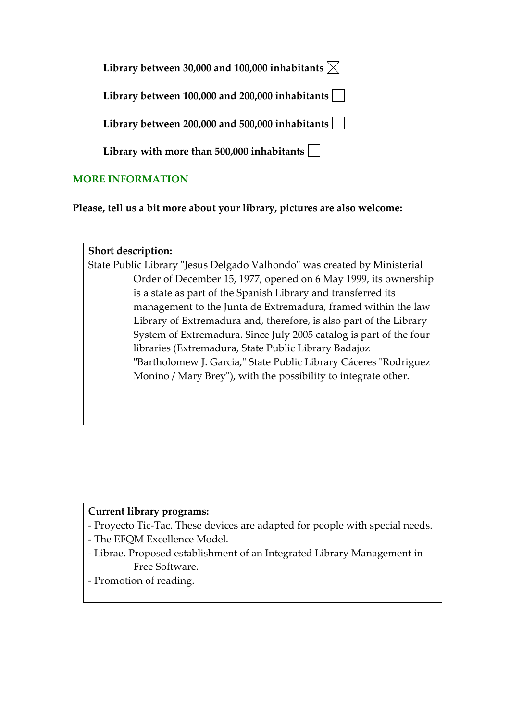| Library between 30,000 and 100,000 inhabitants $\boxtimes$ |  |  |  |  |
|------------------------------------------------------------|--|--|--|--|
|------------------------------------------------------------|--|--|--|--|

**Library between 100,000 and 200,000 inhabitants**

**Library between 200,000 and 500,000 inhabitants**

**Library with more than 500,000 inhabitants**

# **MORE INFORMATION**

**Please, tell us a bit more about your library, pictures are also welcome:** 

#### **Short description:**

State Public Library "Jesus Delgado Valhondo" was created by Ministerial Order of December 15, 1977, opened on 6 May 1999, its ownership is a state as part of the Spanish Library and transferred its management to the Junta de Extremadura, framed within the law Library of Extremadura and, therefore, is also part of the Library System of Extremadura. Since July 2005 catalog is part of the four libraries (Extremadura, State Public Library Badajoz "Bartholomew J. Garcia," State Public Library Cáceres "Rodriguez Monino / Mary Brey"), with the possibility to integrate other.

#### **Current library programs:**

- ‐ Proyecto Tic‐Tac. These devices are adapted for people with special needs.
- ‐ The EFQM Excellence Model.
- ‐ Librae. Proposed establishment of an Integrated Library Management in Free Software.
- ‐ Promotion of reading.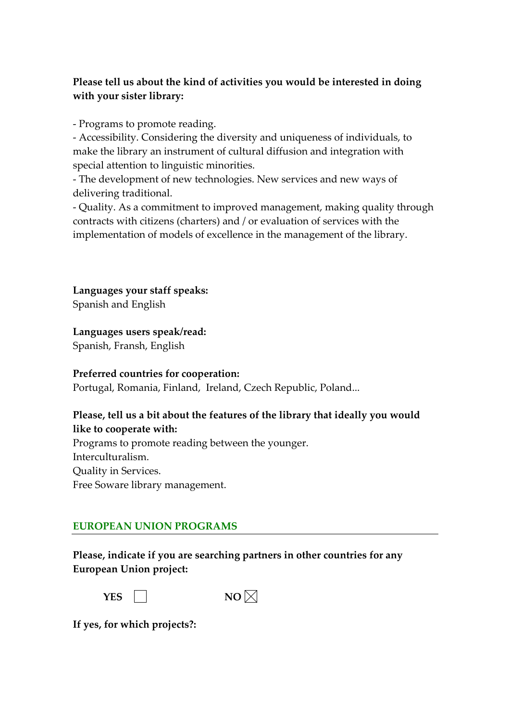# **Please tell us about the kind of activities you would be interested in doing with your sister library:**

‐ Programs to promote reading.

‐ Accessibility. Considering the diversity and uniqueness of individuals, to make the library an instrument of cultural diffusion and integration with special attention to linguistic minorities.

‐ The development of new technologies. New services and new ways of delivering traditional.

‐ Quality. As a commitment to improved management, making quality through contracts with citizens (charters) and / or evaluation of services with the implementation of models of excellence in the management of the library.

**Languages your staff speaks:** Spanish and English

## **Languages users speak/read:**

Spanish, Fransh, English

#### **Preferred countries for cooperation:**

Portugal, Romania, Finland, Ireland, Czech Republic, Poland...

## **Please, tell us a bit about the features of the library that ideally you would like to cooperate with:**

Programs to promote reading between the younger. Interculturalism. Quality in Services. Free Soware library management.

# **EUROPEAN UNION PROGRAMS**

**Please, indicate if you are searching partners in other countries for any European Union project:** 



**If yes, for which projects?:**